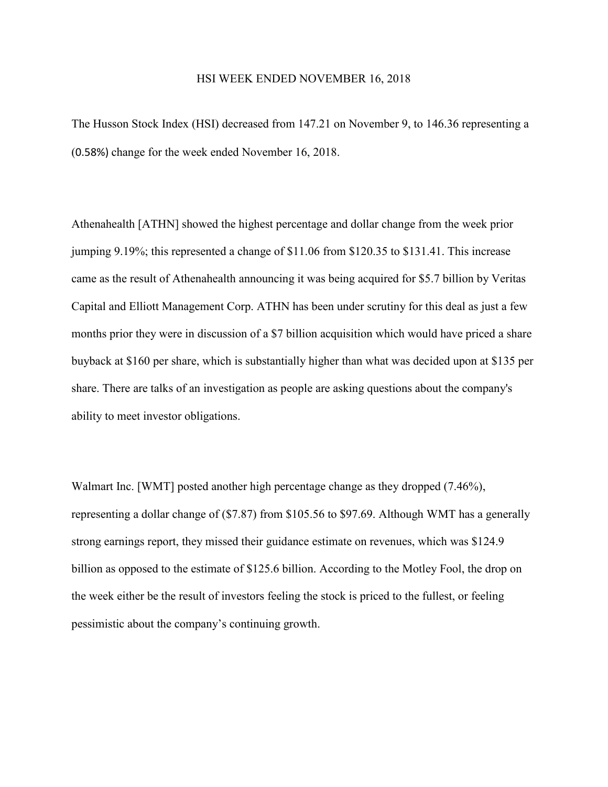## HSI WEEK ENDED NOVEMBER 16, 2018

The Husson Stock Index (HSI) decreased from 147.21 on November 9, to 146.36 representing a (0.58%) change for the week ended November 16, 2018.

Athenahealth [ATHN] showed the highest percentage and dollar change from the week prior jumping 9.19%; this represented a change of \$11.06 from \$120.35 to \$131.41. This increase came as the result of Athenahealth announcing it was being acquired for \$5.7 billion by Veritas Capital and Elliott Management Corp. ATHN has been under scrutiny for this deal as just a few months prior they were in discussion of a \$7 billion acquisition which would have priced a share buyback at \$160 per share, which is substantially higher than what was decided upon at \$135 per share. There are talks of an investigation as people are asking questions about the company's ability to meet investor obligations.

Walmart Inc. [WMT] posted another high percentage change as they dropped (7.46%), representing a dollar change of (\$7.87) from \$105.56 to \$97.69. Although WMT has a generally strong earnings report, they missed their guidance estimate on revenues, which was \$124.9 billion as opposed to the estimate of \$125.6 billion. According to the Motley Fool, the drop on the week either be the result of investors feeling the stock is priced to the fullest, or feeling pessimistic about the company's continuing growth.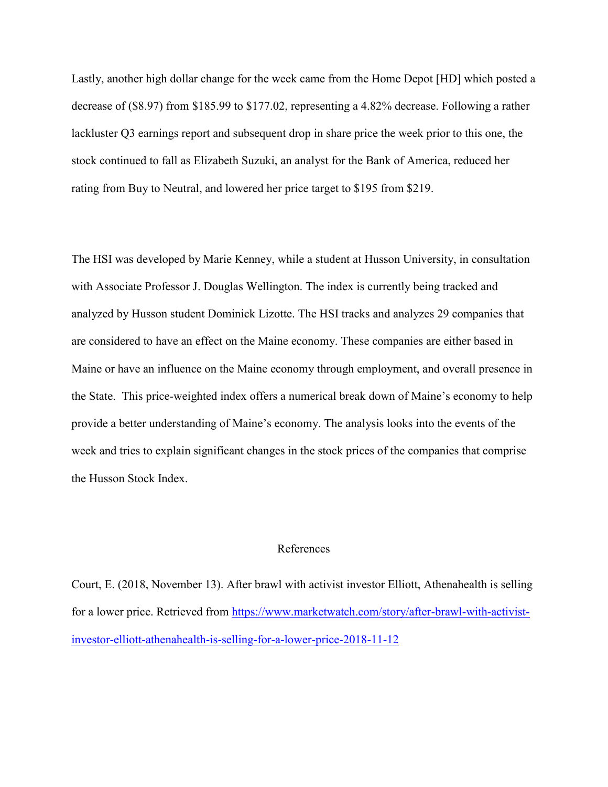Lastly, another high dollar change for the week came from the Home Depot [HD] which posted a decrease of (\$8.97) from \$185.99 to \$177.02, representing a 4.82% decrease. Following a rather lackluster Q3 earnings report and subsequent drop in share price the week prior to this one, the stock continued to fall as Elizabeth Suzuki, an analyst for the Bank of America, reduced her rating from Buy to Neutral, and lowered her price target to \$195 from \$219.

The HSI was developed by Marie Kenney, while a student at Husson University, in consultation with Associate Professor J. Douglas Wellington. The index is currently being tracked and analyzed by Husson student Dominick Lizotte. The HSI tracks and analyzes 29 companies that are considered to have an effect on the Maine economy. These companies are either based in Maine or have an influence on the Maine economy through employment, and overall presence in the State. This price-weighted index offers a numerical break down of Maine's economy to help provide a better understanding of Maine's economy. The analysis looks into the events of the week and tries to explain significant changes in the stock prices of the companies that comprise the Husson Stock Index.

## References

Court, E. (2018, November 13). After brawl with activist investor Elliott, Athenahealth is selling for a lower price. Retrieved from [https://www.marketwatch.com/story/after-brawl-with-activist](https://www.marketwatch.com/story/after-brawl-with-activist-investor-elliott-athenahealth-is-selling-for-a-lower-price-2018-11-12)[investor-elliott-athenahealth-is-selling-for-a-lower-price-2018-11-12](https://www.marketwatch.com/story/after-brawl-with-activist-investor-elliott-athenahealth-is-selling-for-a-lower-price-2018-11-12)